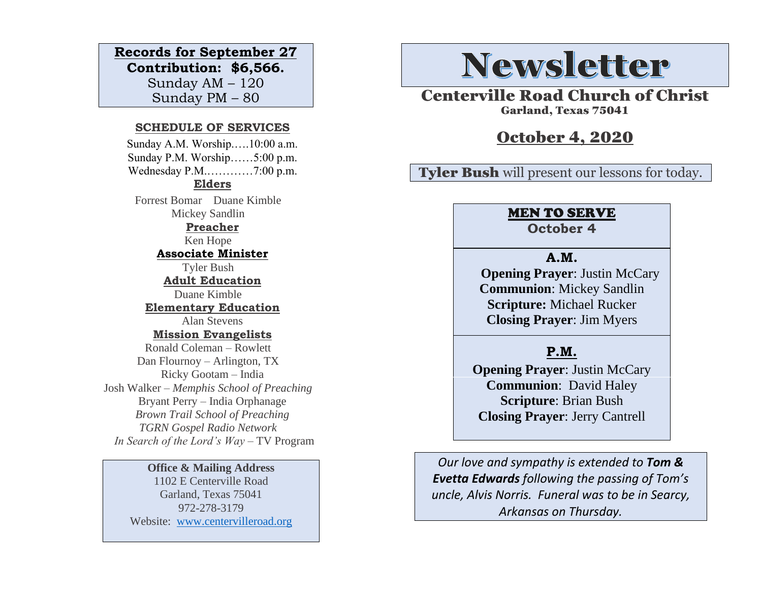#### **Records for September 27**

**Contribution: \$6,566.** Sunday AM – 120 Sunday PM – 80

#### **SCHEDULE OF SERVICES**

 Sunday A.M. Worship.….10:00 a.m. Sunday P.M. Worship……5:00 p.m. Wednesday P.M.…………7:00 p.m. **Elders** Forrest Bomar Duane Kimble Mickey Sandlin **Preacher** Ken Hope **Associate Minister** Tyler Bush **Adult Education** Duane Kimble **Elementary Education** Alan Stevens **Mission Evangelists** Ronald Coleman – Rowlett Dan Flournoy – Arlington, TX Ricky Gootam – India Josh Walker – *Memphis School of Preaching* Bryant Perry – India Orphanage *Brown Trail School of Preaching TGRN Gospel Radio Network In Search of the Lord's Way* – TV Program

#### **Office & Mailing Address**

1102 E Centerville Road Garland, Texas 75041 972-278-3179 Website: [www.centervilleroad.org](https://d.docs.live.net/97e199c461b763eb/Newsletter/News%202020/August%202020/www.centervilleroad.org)

# **Newsletter**

Centerville Road Church of Christ Garland, Texas 75041

# October 4, 2020

## Tyler Bush will present our lessons for today.

## MEN TO SERVE

**October 4**

### **A.M.**

**Opening Prayer: Justin McCary Communion**: Mickey Sandlin **Scripture:** Michael Rucker **Closing Prayer**: Jim Myers

## **P.M.**

**Opening Prayer: Justin McCary Communion**: David Haley **Scripture**: Brian Bush **Closing Prayer**: Jerry Cantrell

*Our love and sympathy is extended to Tom & Evetta Edwards following the passing of Tom's uncle, Alvis Norris. Funeral was to be in Searcy, Arkansas on Thursday.*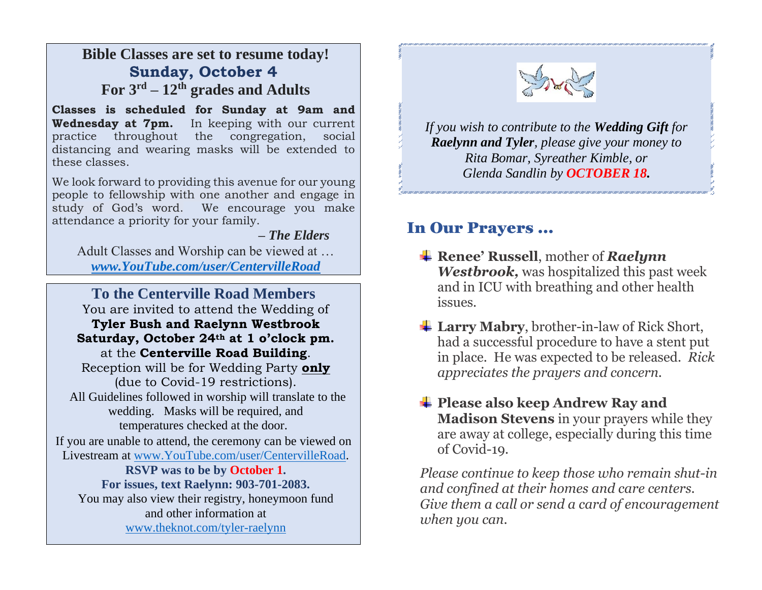# **Bible Classes are set to resume today! Sunday, October 4 For 3rd – 12th grades and Adults**

**Classes is scheduled for Sunday at 9am and Wednesday at 7pm.** In keeping with our current practice throughout the congregation, social distancing and wearing masks will be extended to these classes.

We look forward to providing this avenue for our young people to fellowship with one another and engage in study of God's word. We encourage you make attendance a priority for your family.

 *– The Elders*

Adult Classes and Worship can be viewed at … *[www.YouTube.com/user/CentervilleRoad](http://www.youtube.com/user/CentervilleRoad)*

**To the Centerville Road Members** You are invited to attend the Wedding of **Tyler Bush and Raelynn Westbrook Saturday, October 24th at 1 o'clock pm.**  at the **Centerville Road Building**. Reception will be for Wedding Party **only** (due to Covid-19 restrictions). All Guidelines followed in worship will translate to the wedding. Masks will be required, and temperatures checked at the door. If you are unable to attend, the ceremony can be viewed on Livestream at [www.YouTube.com/user/CentervilleRoad.](http://www.youtube.com/user/CentervilleRoad) **RSVP was to be by October 1. For issues, text Raelynn: 903-701-2083.** You may also view their registry, honeymoon fund and other information at [www.theknot.com/tyler-raelynn](http://www.theknot.com/tyler-raelynn)  İ



*If you wish to contribute to the Wedding Gift for Raelynn and Tyler[, please g](https://creativecommons.org/licenses/by-nc-nd/3.0/)ive your money to Rita Bomar, Syreather Kimble, or Glenda Sandlin by OCTOBER 18.*

# In Our Prayers …

- **Renee' Russell**, mother of *Raelynn Westbrook,* was hospitalized this past week and in ICU with breathing and other health issues.
- **上 Larry Mabry**, brother-in-law of Rick Short, had a successful procedure to have a stent put in place. He was expected to be released. *Rick appreciates the prayers and concern.*
- **<sup>↓</sup> Please also keep Andrew Ray and Madison Stevens** in your prayers while they are away at college, especially during this time of Covid-19.

*Please continue to keep those who remain shut-in and confined at their homes and care centers. Give them a call or send a card of encouragement when you can.*